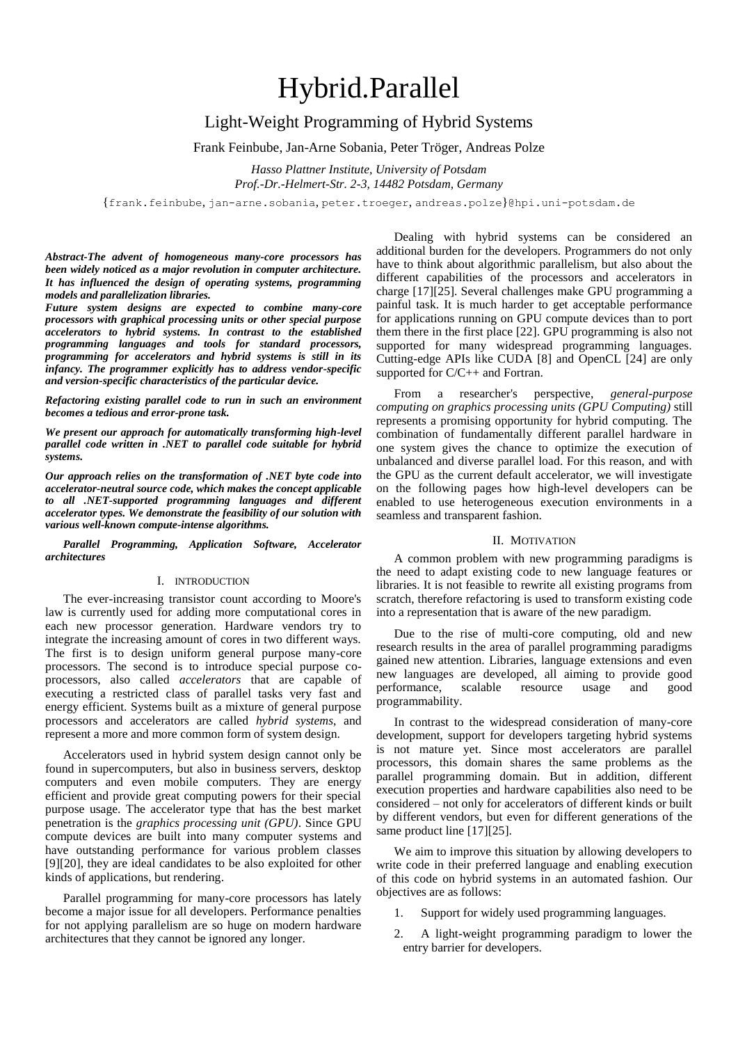# Hybrid.Parallel

# Light-Weight Programming of Hybrid Systems

Frank Feinbube, Jan-Arne Sobania, Peter Tröger, Andreas Polze

*Hasso Plattner Institute, University of Potsdam Prof.-Dr.-Helmert-Str. 2-3, 14482 Potsdam, Germany*

{frank.feinbube, jan-arne.sobania, peter.troeger, andreas.polze}@hpi.uni-potsdam.de

*Abstract-The advent of homogeneous many-core processors has been widely noticed as a major revolution in computer architecture. It has influenced the design of operating systems, programming models and parallelization libraries.* 

*Future system designs are expected to combine many-core processors with graphical processing units or other special purpose accelerators to hybrid systems. In contrast to the established programming languages and tools for standard processors, programming for accelerators and hybrid systems is still in its infancy. The programmer explicitly has to address vendor-specific and version-specific characteristics of the particular device.*

*Refactoring existing parallel code to run in such an environment becomes a tedious and error-prone task.*

*We present our approach for automatically transforming high-level parallel code written in .NET to parallel code suitable for hybrid systems.* 

*Our approach relies on the transformation of .NET byte code into accelerator-neutral source code, which makes the concept applicable to all .NET-supported programming languages and different accelerator types. We demonstrate the feasibility of our solution with various well-known compute-intense algorithms.*

*Parallel Programming, Application Software, Accelerator architectures*

## I. INTRODUCTION

The ever-increasing transistor count according to Moore's law is currently used for adding more computational cores in each new processor generation. Hardware vendors try to integrate the increasing amount of cores in two different ways. The first is to design uniform general purpose many-core processors. The second is to introduce special purpose coprocessors, also called *accelerators* that are capable of executing a restricted class of parallel tasks very fast and energy efficient. Systems built as a mixture of general purpose processors and accelerators are called *hybrid systems*, and represent a more and more common form of system design.

Accelerators used in hybrid system design cannot only be found in supercomputers, but also in business servers, desktop computers and even mobile computers. They are energy efficient and provide great computing powers for their special purpose usage. The accelerator type that has the best market penetration is the *graphics processing unit (GPU)*. Since GPU compute devices are built into many computer systems and have outstanding performance for various problem classes [\[9\]\[20\],](#page-8-0) they are ideal candidates to be also exploited for other kinds of applications, but rendering.

Parallel programming for many-core processors has lately become a major issue for all developers. Performance penalties for not applying parallelism are so huge on modern hardware architectures that they cannot be ignored any longer.

Dealing with hybrid systems can be considered an additional burden for the developers. Programmers do not only have to think about algorithmic parallelism, but also about the different capabilities of the processors and accelerators in charge [\[17\]\[25\].](#page-8-1) Several challenges make GPU programming a painful task. It is much harder to get acceptable performance for applications running on GPU compute devices than to port them there in the first place [\[22\].](#page-8-2) GPU programming is also not supported for many widespread programming languages. Cutting-edge APIs like CUDA [\[8\]](#page-8-3) and OpenCL [\[24\]](#page-8-4) are only supported for C/C++ and Fortran.

From a researcher's perspective, *general-purpose computing on graphics processing units (GPU Computing)* still represents a promising opportunity for hybrid computing. The combination of fundamentally different parallel hardware in one system gives the chance to optimize the execution of unbalanced and diverse parallel load. For this reason, and with the GPU as the current default accelerator, we will investigate on the following pages how high-level developers can be enabled to use heterogeneous execution environments in a seamless and transparent fashion.

# II. MOTIVATION

A common problem with new programming paradigms is the need to adapt existing code to new language features or libraries. It is not feasible to rewrite all existing programs from scratch, therefore refactoring is used to transform existing code into a representation that is aware of the new paradigm.

Due to the rise of multi-core computing, old and new research results in the area of parallel programming paradigms gained new attention. Libraries, language extensions and even new languages are developed, all aiming to provide good performance, scalable resource usage and good programmability.

In contrast to the widespread consideration of many-core development, support for developers targeting hybrid systems is not mature yet. Since most accelerators are parallel processors, this domain shares the same problems as the parallel programming domain. But in addition, different execution properties and hardware capabilities also need to be considered – not only for accelerators of different kinds or built by different vendors, but even for different generations of the same product line [\[17\]\[25\].](#page-8-1)

We aim to improve this situation by allowing developers to write code in their preferred language and enabling execution of this code on hybrid systems in an automated fashion. Our objectives are as follows:

- 1. Support for widely used programming languages.
- 2. A light-weight programming paradigm to lower the entry barrier for developers.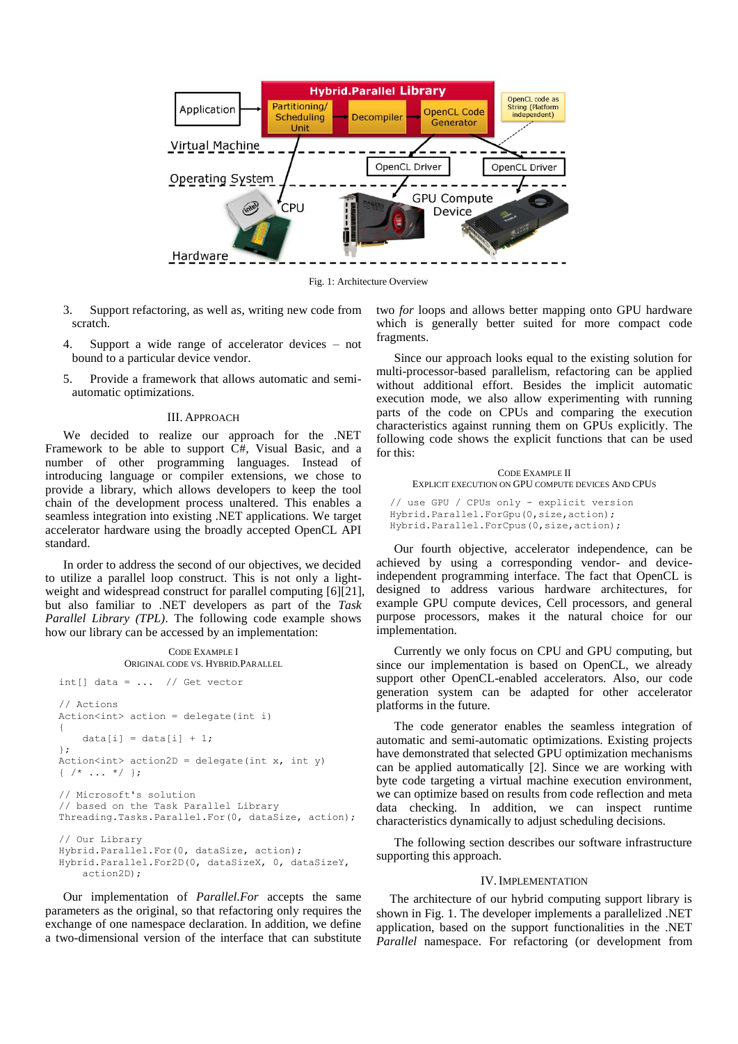

Fig. 1: Architecture Overview

- <span id="page-1-0"></span>3. Support refactoring, as well as, writing new code from scratch.
- 4. Support a wide range of accelerator devices not bound to a particular device vendor.
- Provide a framework that allows automatic and semiautomatic optimizations.

#### III. APPROACH

We decided to realize our approach for the .NET Framework to be able to support C#, Visual Basic, and a number of other programming languages. Instead of introducing language or compiler extensions, we chose to provide a library, which allows developers to keep the tool chain of the development process unaltered. This enables a seamless integration into existing .NET applications. We target accelerator hardware using the broadly accepted OpenCL API standard.

In order to address the second of our objectives, we decided to utilize a parallel loop construct. This is not only a light-weight and widespread construct for parallel computing [\[6\]\[21\],](#page-8-5) but also familiar to .NET developers as part of the *Task Parallel Library (TPL)*. The following code example shows how our library can be accessed by an implementation:

CODE EXAMPLE I ORIGINAL CODE VS. HYBRID.PARALLEL int[] data =  $\ldots$  // Get vector // Actions Action<int> action = delegate(int i) {  $data[i] = data[i] + 1;$ }; Action<int> action2D = delegate(int  $x$ , int y)  $\{ / * \dots * / \}$ ; // Microsoft's solution // based on the Task Parallel Library Threading.Tasks.Parallel.For(0, dataSize, action);

// Our Library Hybrid.Parallel.For(0, dataSize, action); Hybrid.Parallel.For2D(0, dataSizeX, 0, dataSizeY, action2D);

Our implementation of *Parallel.For* accepts the same parameters as the original, so that refactoring only requires the exchange of one namespace declaration. In addition, we define a two-dimensional version of the interface that can substitute

two *for* loops and allows better mapping onto GPU hardware which is generally better suited for more compact code fragments.

Since our approach looks equal to the existing solution for multi-processor-based parallelism, refactoring can be applied without additional effort. Besides the implicit automatic execution mode, we also allow experimenting with running parts of the code on CPUs and comparing the execution characteristics against running them on GPUs explicitly. The following code shows the explicit functions that can be used for this:

# CODE EXAMPLE II EXPLICIT EXECUTION ON GPU COMPUTE DEVICES AND CPUS

// use GPU / CPUs only - explicit version Hybrid.Parallel.ForGpu(0,size,action); Hybrid.Parallel.ForCpus(0,size,action);

Our fourth objective, accelerator independence, can be achieved by using a corresponding vendor- and deviceindependent programming interface. The fact that OpenCL is designed to address various hardware architectures, for example GPU compute devices, Cell processors, and general purpose processors, makes it the natural choice for our implementation.

Currently we only focus on CPU and GPU computing, but since our implementation is based on OpenCL, we already support other OpenCL-enabled accelerators. Also, our code generation system can be adapted for other accelerator platforms in the future.

The code generator enables the seamless integration of automatic and semi-automatic optimizations. Existing projects have demonstrated that selected GPU optimization mechanisms can be applied automatically [\[2\].](#page-8-6) Since we are working with byte code targeting a virtual machine execution environment, we can optimize based on results from code reflection and meta data checking. In addition, we can inspect runtime characteristics dynamically to adjust scheduling decisions.

The following section describes our software infrastructure supporting this approach.

## IV.IMPLEMENTATION

The architecture of our hybrid computing support library is shown i[n Fig. 1.](#page-1-0) The developer implements a parallelized .NET application, based on the support functionalities in the .NET *Parallel* namespace. For refactoring (or development from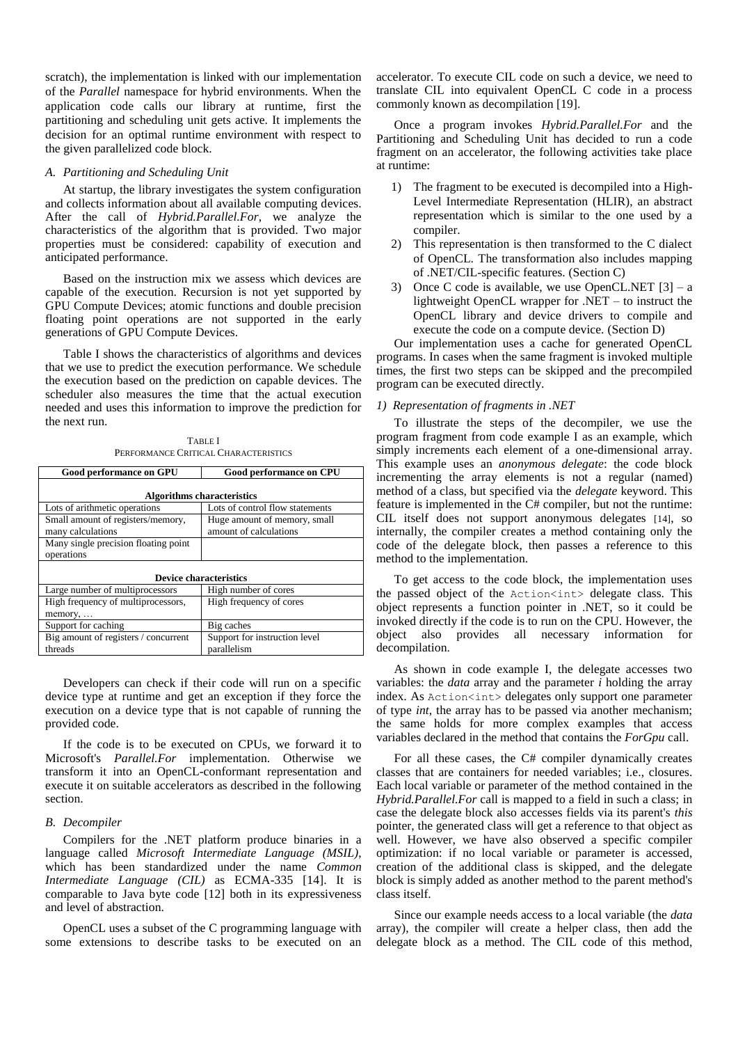scratch), the implementation is linked with our implementation of the *Parallel* namespace for hybrid environments. When the application code calls our library at runtime, first the partitioning and scheduling unit gets active. It implements the decision for an optimal runtime environment with respect to the given parallelized code block.

# *A. Partitioning and Scheduling Unit*

At startup, the library investigates the system configuration and collects information about all available computing devices. After the call of *Hybrid.Parallel.For*, we analyze the characteristics of the algorithm that is provided. Two major properties must be considered: capability of execution and anticipated performance.

Based on the instruction mix we assess which devices are capable of the execution. Recursion is not yet supported by GPU Compute Devices; atomic functions and double precision floating point operations are not supported in the early generations of GPU Compute Devices.

[Table I](#page-2-0) shows the characteristics of algorithms and devices that we use to predict the execution performance. We schedule the execution based on the prediction on capable devices. The scheduler also measures the time that the actual execution needed and uses this information to improve the prediction for the next run.

TABLE I PERFORMANCE CRITICAL CHARACTERISTICS

<span id="page-2-0"></span>

| <b>Good performance on GPU</b>                         | <b>Good performance on CPU</b>                         |
|--------------------------------------------------------|--------------------------------------------------------|
| <b>Algorithms characteristics</b>                      |                                                        |
| Lots of arithmetic operations                          | Lots of control flow statements                        |
| Small amount of registers/memory,<br>many calculations | Huge amount of memory, small<br>amount of calculations |
| Many single precision floating point<br>operations     |                                                        |
| <b>Device characteristics</b>                          |                                                        |
| Large number of multiprocessors                        | High number of cores                                   |
| High frequency of multiprocessors,                     | High frequency of cores                                |
| memory,                                                |                                                        |
| Support for caching                                    | Big caches                                             |
| Big amount of registers / concurrent                   | Support for instruction level                          |
| threads                                                | parallelism                                            |

Developers can check if their code will run on a specific device type at runtime and get an exception if they force the execution on a device type that is not capable of running the provided code.

If the code is to be executed on CPUs, we forward it to Microsoft's *Parallel.For* implementation. Otherwise we transform it into an OpenCL-conformant representation and execute it on suitable accelerators as described in the following section.

#### *B. Decompiler*

Compilers for the .NET platform produce binaries in a language called *Microsoft Intermediate Language (MSIL)*, which has been standardized under the name *Common Intermediate Language (CIL)* as ECMA-335 [\[14\].](#page-8-7) It is comparable to Java byte code [\[12\]](#page-8-8) both in its expressiveness and level of abstraction.

OpenCL uses a subset of the C programming language with some extensions to describe tasks to be executed on an accelerator. To execute CIL code on such a device, we need to translate CIL into equivalent OpenCL C code in a process commonly known as decompilation [\[19\].](#page-8-9)

Once a program invokes *Hybrid.Parallel.For* and the Partitioning and Scheduling Unit has decided to run a code fragment on an accelerator, the following activities take place at runtime:

- 1) The fragment to be executed is decompiled into a High-Level Intermediate Representation (HLIR), an abstract representation which is similar to the one used by a compiler.
- 2) This representation is then transformed to the C dialect of OpenCL. The transformation also includes mapping of .NET/CIL-specific features. (Section [C\)](#page-3-0)
- 3) Once C code is available, we use OpenCL.NET  $[3] a$ lightweight OpenCL wrapper for .NET – to instruct the OpenCL library and device drivers to compile and execute the code on a compute device. (Section [D\)](#page-5-0)

Our implementation uses a cache for generated OpenCL programs. In cases when the same fragment is invoked multiple times, the first two steps can be skipped and the precompiled program can be executed directly.

#### *1) Representation of fragments in .NET*

To illustrate the steps of the decompiler, we use the program fragment from code example I as an example, which simply increments each element of a one-dimensional array. This example uses an *anonymous delegate*: the code block incrementing the array elements is not a regular (named) method of a class, but specified via the *delegate* keyword. This feature is implemented in the C# compiler, but not the runtime: CIL itself does not support anonymous delegates [\[14\]](#page-8-7), so internally, the compiler creates a method containing only the code of the delegate block, then passes a reference to this method to the implementation.

To get access to the code block, the implementation uses the passed object of the Action<int> delegate class. This object represents a function pointer in .NET, so it could be invoked directly if the code is to run on the CPU. However, the object also provides all necessary information for decompilation.

As shown in code example I, the delegate accesses two variables: the *data* array and the parameter *i* holding the array index. As Action<int> delegates only support one parameter of type *int*, the array has to be passed via another mechanism; the same holds for more complex examples that access variables declared in the method that contains the *ForGpu* call.

For all these cases, the C# compiler dynamically creates classes that are containers for needed variables; i.e., closures. Each local variable or parameter of the method contained in the *Hybrid.Parallel.For* call is mapped to a field in such a class; in case the delegate block also accesses fields via its parent's *this* pointer, the generated class will get a reference to that object as well. However, we have also observed a specific compiler optimization: if no local variable or parameter is accessed, creation of the additional class is skipped, and the delegate block is simply added as another method to the parent method's class itself.

Since our example needs access to a local variable (the *data* array), the compiler will create a helper class, then add the delegate block as a method. The CIL code of this method,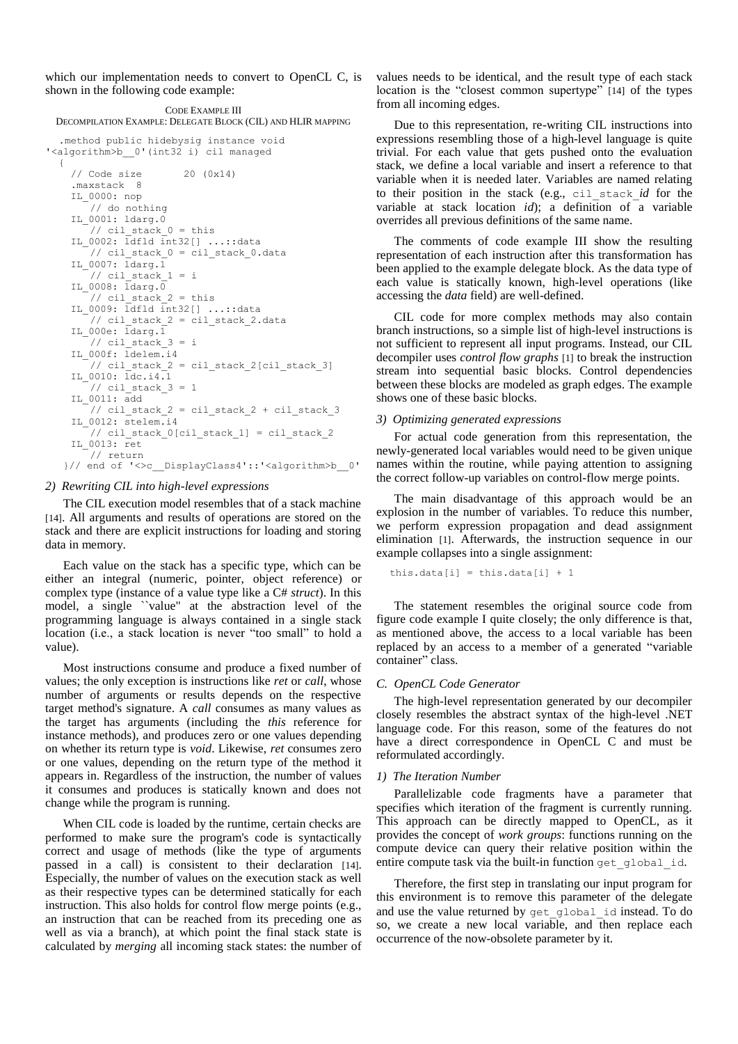which our implementation needs to convert to OpenCL C, is shown in the following code example:

CODE EXAMPLE III DECOMPILATION EXAMPLE: DELEGATE BLOCK (CIL) AND HLIR MAPPING

```
.method public hidebysig instance void 
'<algorithm>b__0'(int32 i) cil managed
  {
     // Code size 20 (0x14)
     .maxstack 8
     IL_0000: nop
       // do nothing
     IL_0001: ldarg.0
        // cil stack 0 = this IL_0002: ldfld int32[] ...::data 
       1/ cil stack 0 = cil stack 0.data
    IL 0007: \bar{l}darg.\bar{1}\frac{1}{2} // cil stack 1 = i
     IL_0008: ldarg.0
       // ci1_stack 2 = thisIL 0009: \overline{1}dfld \overline{1}nt32[] ...::data
        // cil stack 2 = cil stack 2.data
     IL_000e: ldarg.1
        // \text{cil\_stack\_3} = iIL 000f: ldelem.i4
       1/7 cil stack 2 = cil stack 2[cil stack 3]
    IL 0010: \bar{l}dc.i4.11/ cil stack 3 = 1 IL_0011: add
        \frac{1}{\sqrt{2}} cil_stack_2 + cil_stack_3
    IL_0012: stelem.i4
        // cil_stack_0[cil_stack_1] = cil_stack_2
     IL_0013: ret
       // return
   }// end of '<>c__DisplayClass4'::'<algorithm>b__0'
```
#### *2) Rewriting CIL into high-level expressions*

The CIL execution model resembles that of a stack machine [\[14\]](#page-8-7). All arguments and results of operations are stored on the stack and there are explicit instructions for loading and storing data in memory.

Each value on the stack has a specific type, which can be either an integral (numeric, pointer, object reference) or complex type (instance of a value type like a C# *struct*). In this model, a single ``value" at the abstraction level of the programming language is always contained in a single stack location (i.e., a stack location is never "too small" to hold a value).

Most instructions consume and produce a fixed number of values; the only exception is instructions like *ret* or *call*, whose number of arguments or results depends on the respective target method's signature. A *call* consumes as many values as the target has arguments (including the *this* reference for instance methods), and produces zero or one values depending on whether its return type is *void*. Likewise, *ret* consumes zero or one values, depending on the return type of the method it appears in. Regardless of the instruction, the number of values it consumes and produces is statically known and does not change while the program is running.

When CIL code is loaded by the runtime, certain checks are performed to make sure the program's code is syntactically correct and usage of methods (like the type of arguments passed in a call) is consistent to their declaration [\[14\]](#page-8-7). Especially, the number of values on the execution stack as well as their respective types can be determined statically for each instruction. This also holds for control flow merge points (e.g., an instruction that can be reached from its preceding one as well as via a branch), at which point the final stack state is calculated by *merging* all incoming stack states: the number of values needs to be identical, and the result type of each stack location is the "closest common supertype" [\[14\]](#page-8-7) of the types from all incoming edges.

Due to this representation, re-writing CIL instructions into expressions resembling those of a high-level language is quite trivial. For each value that gets pushed onto the evaluation stack, we define a local variable and insert a reference to that variable when it is needed later. Variables are named relating to their position in the stack (e.g., cil\_stack\_*id* for the variable at stack location *id*); a definition of a variable overrides all previous definitions of the same name.

The comments of code example III show the resulting representation of each instruction after this transformation has been applied to the example delegate block. As the data type of each value is statically known, high-level operations (like accessing the *data* field) are well-defined.

CIL code for more complex methods may also contain branch instructions, so a simple list of high-level instructions is not sufficient to represent all input programs. Instead, our CIL decompiler uses *control flow graphs* [\[1\]](#page-8-11) to break the instruction stream into sequential basic blocks. Control dependencies between these blocks are modeled as graph edges. The example shows one of these basic blocks.

#### *3) Optimizing generated expressions*

For actual code generation from this representation, the newly-generated local variables would need to be given unique names within the routine, while paying attention to assigning the correct follow-up variables on control-flow merge points.

The main disadvantage of this approach would be an explosion in the number of variables. To reduce this number, we perform expression propagation and dead assignment elimination [\[1\]](#page-8-11). Afterwards, the instruction sequence in our example collapses into a single assignment:

```
this.data[i] = this.data[i] + 1
```
The statement resembles the original source code from figure code example I quite closely; the only difference is that, as mentioned above, the access to a local variable has been replaced by an access to a member of a generated "variable container" class.

#### <span id="page-3-0"></span>*C. OpenCL Code Generator*

The high-level representation generated by our decompiler closely resembles the abstract syntax of the high-level .NET language code. For this reason, some of the features do not have a direct correspondence in OpenCL C and must be reformulated accordingly.

#### *1) The Iteration Number*

Parallelizable code fragments have a parameter that specifies which iteration of the fragment is currently running. This approach can be directly mapped to OpenCL, as it provides the concept of *work groups*: functions running on the compute device can query their relative position within the entire compute task via the built-in function  $qet qlobal id$ .

Therefore, the first step in translating our input program for this environment is to remove this parameter of the delegate and use the value returned by get\_global\_id instead. To do so, we create a new local variable, and then replace each occurrence of the now-obsolete parameter by it.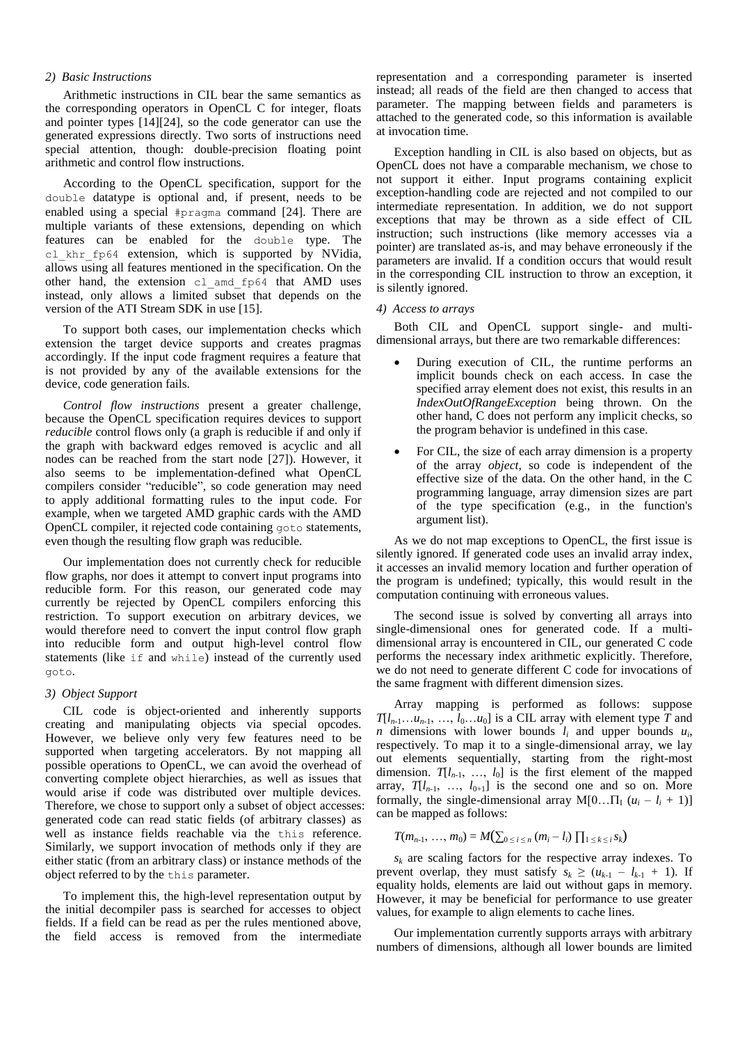# *2) Basic Instructions*

Arithmetic instructions in CIL bear the same semantics as the corresponding operators in OpenCL C for integer, floats and pointer types [\[14\]\[24\],](#page-8-7) so the code generator can use the generated expressions directly. Two sorts of instructions need special attention, though: double-precision floating point arithmetic and control flow instructions.

According to the OpenCL specification, support for the double datatype is optional and, if present, needs to be enabled using a special #pragma command [\[24\].](#page-8-4) There are multiple variants of these extensions, depending on which features can be enabled for the double type. The cl khr fp64 extension, which is supported by NVidia, allows using all features mentioned in the specification. On the other hand, the extension cl\_amd\_fp64 that AMD uses instead, only allows a limited subset that depends on the version of the ATI Stream SDK in us[e \[15\].](#page-8-12)

To support both cases, our implementation checks which extension the target device supports and creates pragmas accordingly. If the input code fragment requires a feature that is not provided by any of the available extensions for the device, code generation fails.

*Control flow instructions* present a greater challenge, because the OpenCL specification requires devices to support *reducible* control flows only (a graph is reducible if and only if the graph with backward edges removed is acyclic and all nodes can be reached from the start node [\[27\]\)](#page-8-13). However, it also seems to be implementation-defined what OpenCL compilers consider "reducible", so code generation may need to apply additional formatting rules to the input code. For example, when we targeted AMD graphic cards with the AMD OpenCL compiler, it rejected code containing goto statements, even though the resulting flow graph was reducible.

Our implementation does not currently check for reducible flow graphs, nor does it attempt to convert input programs into reducible form. For this reason, our generated code may currently be rejected by OpenCL compilers enforcing this restriction. To support execution on arbitrary devices, we would therefore need to convert the input control flow graph into reducible form and output high-level control flow statements (like if and while) instead of the currently used goto.

#### *3) Object Support*

CIL code is object-oriented and inherently supports creating and manipulating objects via special opcodes. However, we believe only very few features need to be supported when targeting accelerators. By not mapping all possible operations to OpenCL, we can avoid the overhead of converting complete object hierarchies, as well as issues that would arise if code was distributed over multiple devices. Therefore, we chose to support only a subset of object accesses: generated code can read static fields (of arbitrary classes) as well as instance fields reachable via the this reference. Similarly, we support invocation of methods only if they are either static (from an arbitrary class) or instance methods of the object referred to by the this parameter.

To implement this, the high-level representation output by the initial decompiler pass is searched for accesses to object fields. If a field can be read as per the rules mentioned above, the field access is removed from the intermediate

representation and a corresponding parameter is inserted instead; all reads of the field are then changed to access that parameter. The mapping between fields and parameters is attached to the generated code, so this information is available at invocation time.

Exception handling in CIL is also based on objects, but as OpenCL does not have a comparable mechanism, we chose to not support it either. Input programs containing explicit exception-handling code are rejected and not compiled to our intermediate representation. In addition, we do not support exceptions that may be thrown as a side effect of CIL instruction; such instructions (like memory accesses via a pointer) are translated as-is, and may behave erroneously if the parameters are invalid. If a condition occurs that would result in the corresponding CIL instruction to throw an exception, it is silently ignored.

#### *4) Access to arrays*

Both CIL and OpenCL support single- and multidimensional arrays, but there are two remarkable differences:

- During execution of CIL, the runtime performs an implicit bounds check on each access. In case the specified array element does not exist, this results in an *IndexOutOfRangeException* being thrown. On the other hand, C does not perform any implicit checks, so the program behavior is undefined in this case.
- For CIL, the size of each array dimension is a property of the array *object*, so code is independent of the effective size of the data. On the other hand, in the C programming language, array dimension sizes are part of the type specification (e.g., in the function's argument list).

As we do not map exceptions to OpenCL, the first issue is silently ignored. If generated code uses an invalid array index, it accesses an invalid memory location and further operation of the program is undefined; typically, this would result in the computation continuing with erroneous values.

The second issue is solved by converting all arrays into single-dimensional ones for generated code. If a multidimensional array is encountered in CIL, our generated C code performs the necessary index arithmetic explicitly. Therefore, we do not need to generate different C code for invocations of the same fragment with different dimension sizes.

Array mapping is performed as follows: suppose  $T[l_{n-1} \ldots u_{n-1}, \ldots, l_0 \ldots u_0]$  is a CIL array with element type  $\overline{T}$  and *n* dimensions with lower bounds  $l_i$  and upper bounds  $u_i$ , respectively. To map it to a single-dimensional array, we lay out elements sequentially, starting from the right-most dimension.  $T[l_{n-1}, ..., l_0]$  is the first element of the mapped array,  $T[l_{n-1}, ..., l_{0+1}]$  is the second one and so on. More formally, the single-dimensional array  $M[0...]$ <sub>I</sub>  $(u_i - l_i + 1)$ ] can be mapped as follows:

$$
T(m_{n-1}, ..., m_0) = M(\sum_{0 \leq i \leq n} (m_i - l_i) \prod_{1 \leq k \leq i} s_k)
$$

 $s_k$  are scaling factors for the respective array indexes. To prevent overlap, they must satisfy  $s_k \geq (u_{k-1} - l_{k-1} + 1)$ . If equality holds, elements are laid out without gaps in memory. However, it may be beneficial for performance to use greater values, for example to align elements to cache lines.

Our implementation currently supports arrays with arbitrary numbers of dimensions, although all lower bounds are limited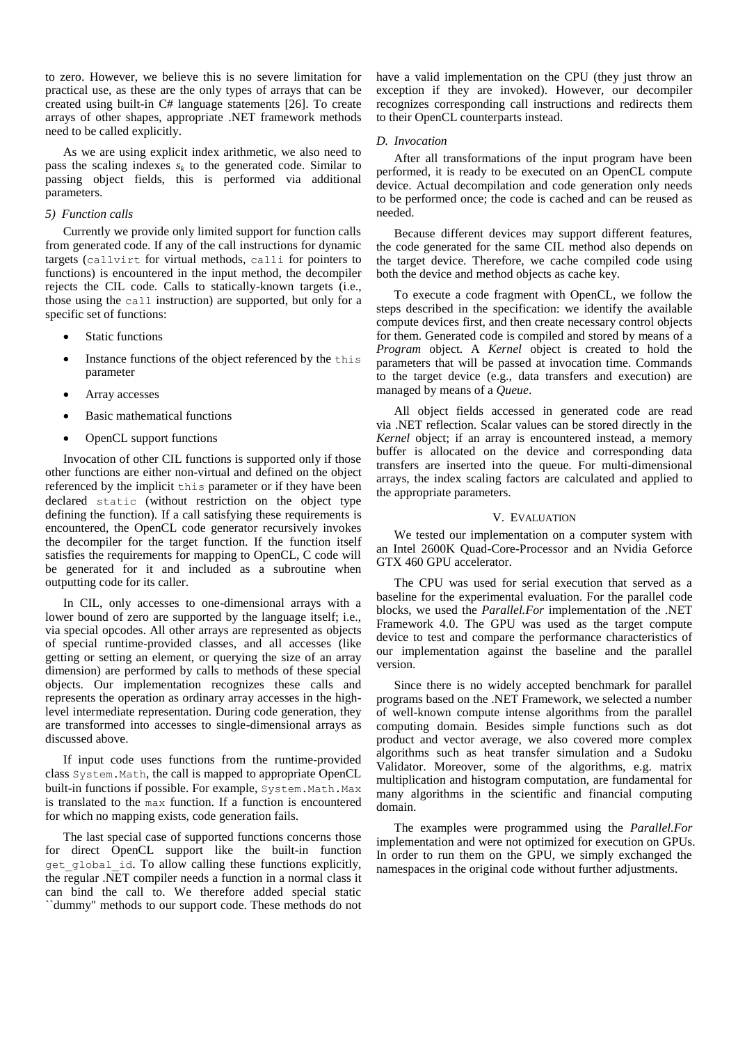to zero. However, we believe this is no severe limitation for practical use, as these are the only types of arrays that can be created using built-in C# language statements [\[26\].](#page-8-14) To create arrays of other shapes, appropriate .NET framework methods need to be called explicitly.

As we are using explicit index arithmetic, we also need to pass the scaling indexes  $s_k$  to the generated code. Similar to passing object fields, this is performed via additional parameters.

# *5) Function calls*

Currently we provide only limited support for function calls from generated code. If any of the call instructions for dynamic targets (callvirt for virtual methods, calli for pointers to functions) is encountered in the input method, the decompiler rejects the CIL code. Calls to statically-known targets (i.e., those using the call instruction) are supported, but only for a specific set of functions:

- Static functions
- Instance functions of the object referenced by the this parameter
- Array accesses
- Basic mathematical functions
- OpenCL support functions

Invocation of other CIL functions is supported only if those other functions are either non-virtual and defined on the object referenced by the implicit this parameter or if they have been declared static (without restriction on the object type defining the function). If a call satisfying these requirements is encountered, the OpenCL code generator recursively invokes the decompiler for the target function. If the function itself satisfies the requirements for mapping to OpenCL, C code will be generated for it and included as a subroutine when outputting code for its caller.

In CIL, only accesses to one-dimensional arrays with a lower bound of zero are supported by the language itself; i.e., via special opcodes. All other arrays are represented as objects of special runtime-provided classes, and all accesses (like getting or setting an element, or querying the size of an array dimension) are performed by calls to methods of these special objects. Our implementation recognizes these calls and represents the operation as ordinary array accesses in the highlevel intermediate representation. During code generation, they are transformed into accesses to single-dimensional arrays as discussed above.

If input code uses functions from the runtime-provided class System.Math, the call is mapped to appropriate OpenCL built-in functions if possible. For example, System. Math. Max is translated to the max function. If a function is encountered for which no mapping exists, code generation fails.

The last special case of supported functions concerns those for direct OpenCL support like the built-in function get global id. To allow calling these functions explicitly, the regular .NET compiler needs a function in a normal class it can bind the call to. We therefore added special static ``dummy" methods to our support code. These methods do not

have a valid implementation on the CPU (they just throw an exception if they are invoked). However, our decompiler recognizes corresponding call instructions and redirects them to their OpenCL counterparts instead.

# <span id="page-5-0"></span>*D. Invocation*

After all transformations of the input program have been performed, it is ready to be executed on an OpenCL compute device. Actual decompilation and code generation only needs to be performed once; the code is cached and can be reused as needed.

Because different devices may support different features, the code generated for the same CIL method also depends on the target device. Therefore, we cache compiled code using both the device and method objects as cache key.

To execute a code fragment with OpenCL, we follow the steps described in the specification: we identify the available compute devices first, and then create necessary control objects for them. Generated code is compiled and stored by means of a *Program* object. A *Kernel* object is created to hold the parameters that will be passed at invocation time. Commands to the target device (e.g., data transfers and execution) are managed by means of a *Queue*.

All object fields accessed in generated code are read via .NET reflection. Scalar values can be stored directly in the *Kernel* object; if an array is encountered instead, a memory buffer is allocated on the device and corresponding data transfers are inserted into the queue. For multi-dimensional arrays, the index scaling factors are calculated and applied to the appropriate parameters.

# V. EVALUATION

We tested our implementation on a computer system with an Intel 2600K Quad-Core-Processor and an Nvidia Geforce GTX 460 GPU accelerator.

The CPU was used for serial execution that served as a baseline for the experimental evaluation. For the parallel code blocks, we used the *Parallel.For* implementation of the .NET Framework 4.0. The GPU was used as the target compute device to test and compare the performance characteristics of our implementation against the baseline and the parallel version.

Since there is no widely accepted benchmark for parallel programs based on the .NET Framework, we selected a number of well-known compute intense algorithms from the parallel computing domain. Besides simple functions such as dot product and vector average, we also covered more complex algorithms such as heat transfer simulation and a Sudoku Validator. Moreover, some of the algorithms, e.g. matrix multiplication and histogram computation, are fundamental for many algorithms in the scientific and financial computing domain.

The examples were programmed using the *Parallel.For* implementation and were not optimized for execution on GPUs. In order to run them on the GPU, we simply exchanged the namespaces in the original code without further adjustments.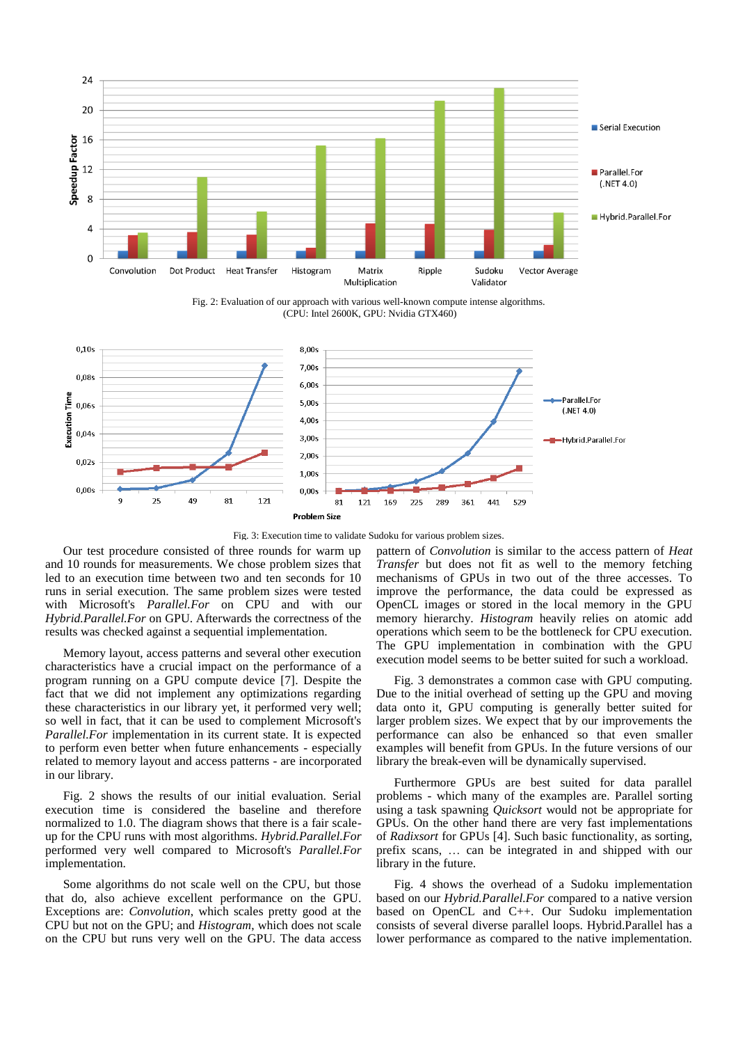

Fig. 2: Evaluation of our approach with various well-known compute intense algorithms. (CPU: Intel 2600K, GPU: Nvidia GTX460)

<span id="page-6-0"></span>

Fig. 3: Execution time to validate Sudoku for various problem sizes.

<span id="page-6-1"></span>Our test procedure consisted of three rounds for warm up and 10 rounds for measurements. We chose problem sizes that led to an execution time between two and ten seconds for 10 runs in serial execution. The same problem sizes were tested with Microsoft's *Parallel.For* on CPU and with our *Hybrid.Parallel.For* on GPU. Afterwards the correctness of the results was checked against a sequential implementation.

Memory layout, access patterns and several other execution characteristics have a crucial impact on the performance of a program running on a GPU compute device [\[7\].](#page-8-15) Despite the fact that we did not implement any optimizations regarding these characteristics in our library yet, it performed very well; so well in fact, that it can be used to complement Microsoft's *Parallel.For* implementation in its current state. It is expected to perform even better when future enhancements - especially related to memory layout and access patterns - are incorporated in our library.

[Fig. 2](#page-6-0) shows the results of our initial evaluation. Serial execution time is considered the baseline and therefore normalized to 1.0. The diagram shows that there is a fair scaleup for the CPU runs with most algorithms. *Hybrid.Parallel.For* performed very well compared to Microsoft's *Parallel.For* implementation.

Some algorithms do not scale well on the CPU, but those that do, also achieve excellent performance on the GPU. Exceptions are: *Convolution*, which scales pretty good at the CPU but not on the GPU; and *Histogram*, which does not scale on the CPU but runs very well on the GPU. The data access

pattern of *Convolution* is similar to the access pattern of *Heat Transfer* but does not fit as well to the memory fetching mechanisms of GPUs in two out of the three accesses. To improve the performance, the data could be expressed as OpenCL images or stored in the local memory in the GPU memory hierarchy. *Histogram* heavily relies on atomic add operations which seem to be the bottleneck for CPU execution. The GPU implementation in combination with the GPU execution model seems to be better suited for such a workload.

[Fig. 3](#page-6-1) demonstrates a common case with GPU computing. Due to the initial overhead of setting up the GPU and moving data onto it, GPU computing is generally better suited for larger problem sizes. We expect that by our improvements the performance can also be enhanced so that even smaller examples will benefit from GPUs. In the future versions of our library the break-even will be dynamically supervised.

Furthermore GPUs are best suited for data parallel problems - which many of the examples are. Parallel sorting using a task spawning *Quicksort* would not be appropriate for GPUs. On the other hand there are very fast implementations of *Radixsort* for GPUs [\[4\].](#page-8-16) Such basic functionality, as sorting, prefix scans, … can be integrated in and shipped with our library in the future.

[Fig. 4](#page-7-0) shows the overhead of a Sudoku implementation based on our *Hybrid.Parallel.For* compared to a native version based on OpenCL and C++. Our Sudoku implementation consists of several diverse parallel loops. Hybrid.Parallel has a lower performance as compared to the native implementation.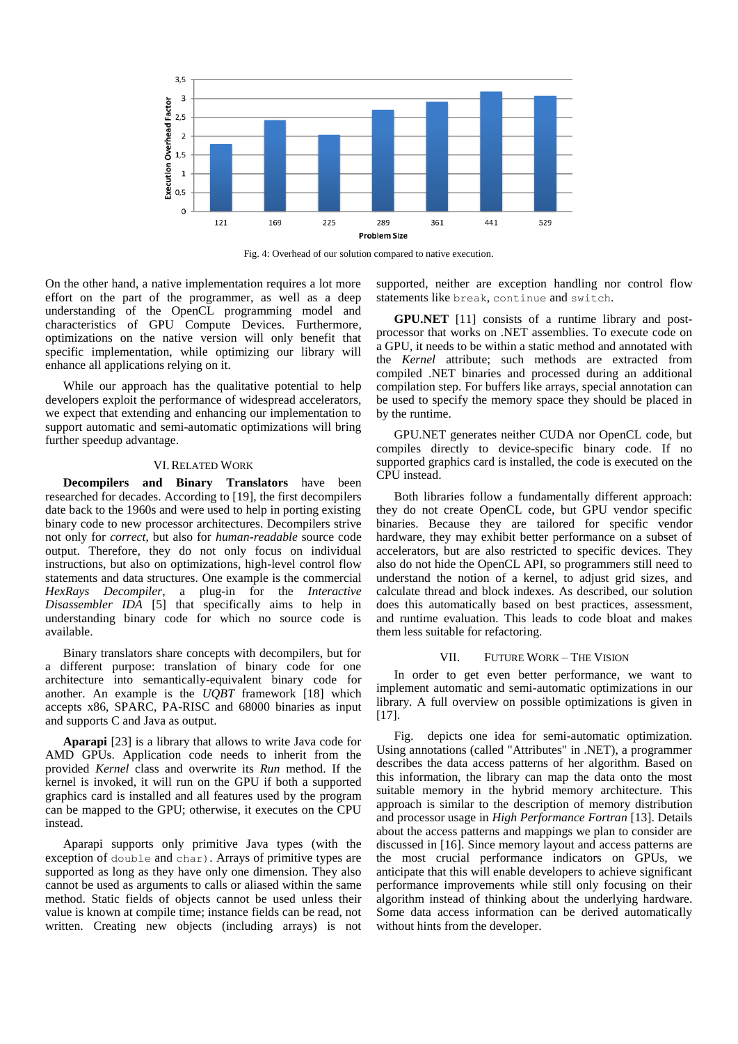

Fig. 4: Overhead of our solution compared to native execution.

<span id="page-7-0"></span>On the other hand, a native implementation requires a lot more effort on the part of the programmer, as well as a deep understanding of the OpenCL programming model and characteristics of GPU Compute Devices. Furthermore, optimizations on the native version will only benefit that specific implementation, while optimizing our library will enhance all applications relying on it.

While our approach has the qualitative potential to help developers exploit the performance of widespread accelerators, we expect that extending and enhancing our implementation to support automatic and semi-automatic optimizations will bring further speedup advantage.

#### VI.RELATED WORK

**Decompilers and Binary Translators** have been researched for decades. According to [\[19\],](#page-8-9) the first decompilers date back to the 1960s and were used to help in porting existing binary code to new processor architectures. Decompilers strive not only for *correct*, but also for *human-readable* source code output. Therefore, they do not only focus on individual instructions, but also on optimizations, high-level control flow statements and data structures. One example is the commercial *HexRays Decompiler*, a plug-in for the *Interactive Disassembler IDA* [\[5\]](#page-8-17) that specifically aims to help in understanding binary code for which no source code is available.

Binary translators share concepts with decompilers, but for a different purpose: translation of binary code for one architecture into semantically-equivalent binary code for another. An example is the *UQBT* framework [\[18\]](#page-8-18) which accepts x86, SPARC, PA-RISC and 68000 binaries as input and supports C and Java as output.

**Aparapi** [\[23\]](#page-8-19) is a library that allows to write Java code for AMD GPUs. Application code needs to inherit from the provided *Kernel* class and overwrite its *Run* method. If the kernel is invoked, it will run on the GPU if both a supported graphics card is installed and all features used by the program can be mapped to the GPU; otherwise, it executes on the CPU instead.

Aparapi supports only primitive Java types (with the exception of double and char). Arrays of primitive types are supported as long as they have only one dimension. They also cannot be used as arguments to calls or aliased within the same method. Static fields of objects cannot be used unless their value is known at compile time; instance fields can be read, not written. Creating new objects (including arrays) is not

supported, neither are exception handling nor control flow statements like break, continue and switch.

**GPU.NET** [\[11\]](#page-8-20) consists of a runtime library and postprocessor that works on .NET assemblies. To execute code on a GPU, it needs to be within a static method and annotated with the *Kernel* attribute; such methods are extracted from compiled .NET binaries and processed during an additional compilation step. For buffers like arrays, special annotation can be used to specify the memory space they should be placed in by the runtime.

GPU.NET generates neither CUDA nor OpenCL code, but compiles directly to device-specific binary code. If no supported graphics card is installed, the code is executed on the CPU instead.

Both libraries follow a fundamentally different approach: they do not create OpenCL code, but GPU vendor specific binaries. Because they are tailored for specific vendor hardware, they may exhibit better performance on a subset of accelerators, but are also restricted to specific devices. They also do not hide the OpenCL API, so programmers still need to understand the notion of a kernel, to adjust grid sizes, and calculate thread and block indexes. As described, our solution does this automatically based on best practices, assessment, and runtime evaluation. This leads to code bloat and makes them less suitable for refactoring.

#### VII. FUTURE WORK – THE VISION

In order to get even better performance, we want to implement automatic and semi-automatic optimizations in our library. A full overview on possible optimizations is given in [\[17\].](#page-8-1)

[Fig.](#page-8-21) depicts one idea for semi-automatic optimization. Using annotations (called "Attributes" in .NET), a programmer describes the data access patterns of her algorithm. Based on this information, the library can map the data onto the most suitable memory in the hybrid memory architecture. This approach is similar to the description of memory distribution and processor usage in *High Performance Fortran* [\[13\].](#page-8-22) Details about the access patterns and mappings we plan to consider are discussed in [\[16\].](#page-8-23) Since memory layout and access patterns are the most crucial performance indicators on GPUs, we anticipate that this will enable developers to achieve significant performance improvements while still only focusing on their algorithm instead of thinking about the underlying hardware. Some data access information can be derived automatically without hints from the developer.